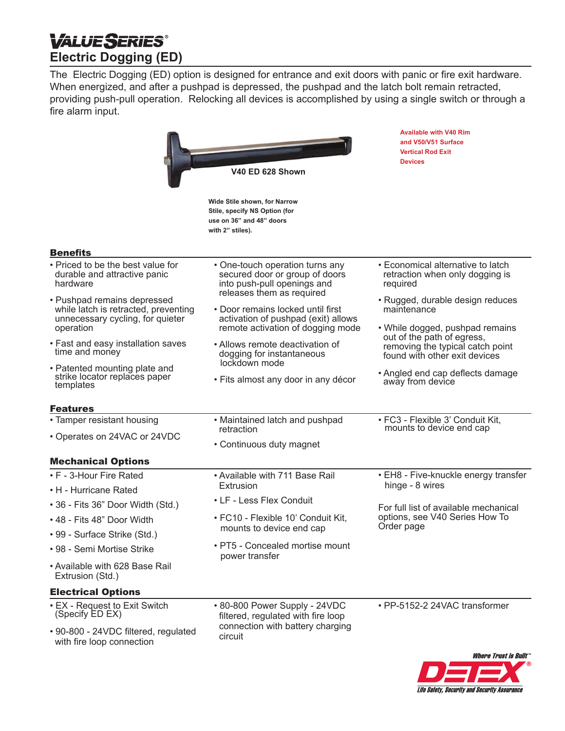# **VALUESERIES® Electric Dogging (ED)**

The Electric Dogging (ED) option is designed for entrance and exit doors with panic or fire exit hardware. When energized, and after a pushpad is depressed, the pushpad and the latch bolt remain retracted, providing push-pull operation. Relocking all devices is accomplished by using a single switch or through a fire alarm input.

|                                                                                                                      | <b>V40 ED 628 Shown</b>                                                                                                       | <b>Available with V40 Rim</b><br>and V50/V51 Surface<br><b>Vertical Rod Exit</b><br><b>Devices</b>                                                                                    |
|----------------------------------------------------------------------------------------------------------------------|-------------------------------------------------------------------------------------------------------------------------------|---------------------------------------------------------------------------------------------------------------------------------------------------------------------------------------|
|                                                                                                                      | Wide Stile shown, for Narrow<br>Stile, specify NS Option (for<br>use on 36" and 48" doors<br>with 2" stiles).                 |                                                                                                                                                                                       |
| <b>Benefits</b>                                                                                                      |                                                                                                                               |                                                                                                                                                                                       |
| • Priced to be the best value for<br>durable and attractive panic<br>hardware                                        | • One-touch operation turns any<br>secured door or group of doors<br>into push-pull openings and<br>releases them as required | • Economical alternative to latch<br>retraction when only dogging is<br>required                                                                                                      |
| • Pushpad remains depressed<br>while latch is retracted, preventing<br>unnecessary cycling, for quieter<br>operation | • Door remains locked until first<br>activation of pushpad (exit) allows<br>remote activation of dogging mode                 | • Rugged, durable design reduces<br>maintenance<br>• While dogged, pushpad remains<br>out of the path of egress,<br>removing the typical catch point<br>found with other exit devices |
| • Fast and easy installation saves<br>time and money                                                                 | • Allows remote deactivation of<br>dogging for instantaneous<br>lockdown mode                                                 |                                                                                                                                                                                       |
| • Patented mounting plate and<br>strike locator replaces paper<br>templates                                          | • Fits almost any door in any décor                                                                                           | • Angled end cap deflects damage<br>away from device                                                                                                                                  |
| <b>Features</b>                                                                                                      |                                                                                                                               |                                                                                                                                                                                       |
| • Tamper resistant housing                                                                                           | • Maintained latch and pushpad<br>retraction                                                                                  | • FC3 - Flexible 3' Conduit Kit,<br>mounts to device end cap                                                                                                                          |
| • Operates on 24VAC or 24VDC                                                                                         | • Continuous duty magnet                                                                                                      |                                                                                                                                                                                       |
| <b>Mechanical Options</b>                                                                                            |                                                                                                                               |                                                                                                                                                                                       |
| • F - 3-Hour Fire Rated                                                                                              | • Available with 711 Base Rail                                                                                                | • EH8 - Five-knuckle energy transfer<br>hinge - 8 wires<br>For full list of available mechanical<br>options, see V40 Series How To<br>Order page                                      |
| • H - Hurricane Rated                                                                                                | <b>Extrusion</b>                                                                                                              |                                                                                                                                                                                       |
| • 36 - Fits 36" Door Width (Std.)                                                                                    | • LF - Less Flex Conduit                                                                                                      |                                                                                                                                                                                       |
| • 48 - Fits 48" Door Width                                                                                           | • FC10 - Flexible 10' Conduit Kit,<br>mounts to device end cap<br>· PT5 - Concealed mortise mount<br>power transfer           |                                                                                                                                                                                       |
| • 99 - Surface Strike (Std.)                                                                                         |                                                                                                                               |                                                                                                                                                                                       |
| • 98 - Semi Mortise Strike                                                                                           |                                                                                                                               |                                                                                                                                                                                       |
| • Available with 628 Base Rail<br>Extrusion (Std.)                                                                   |                                                                                                                               |                                                                                                                                                                                       |
| <b>Electrical Options</b>                                                                                            |                                                                                                                               |                                                                                                                                                                                       |
| • EX - Request to Exit Switch<br>(Specify ED EX)                                                                     | • 80-800 Power Supply - 24VDC<br>filtered, regulated with fire loop<br>connection with battery charging<br>circuit            | • PP-5152-2 24VAC transformer                                                                                                                                                         |
| • 90-800 - 24VDC filtered, regulated<br>with fire loop connection                                                    |                                                                                                                               |                                                                                                                                                                                       |